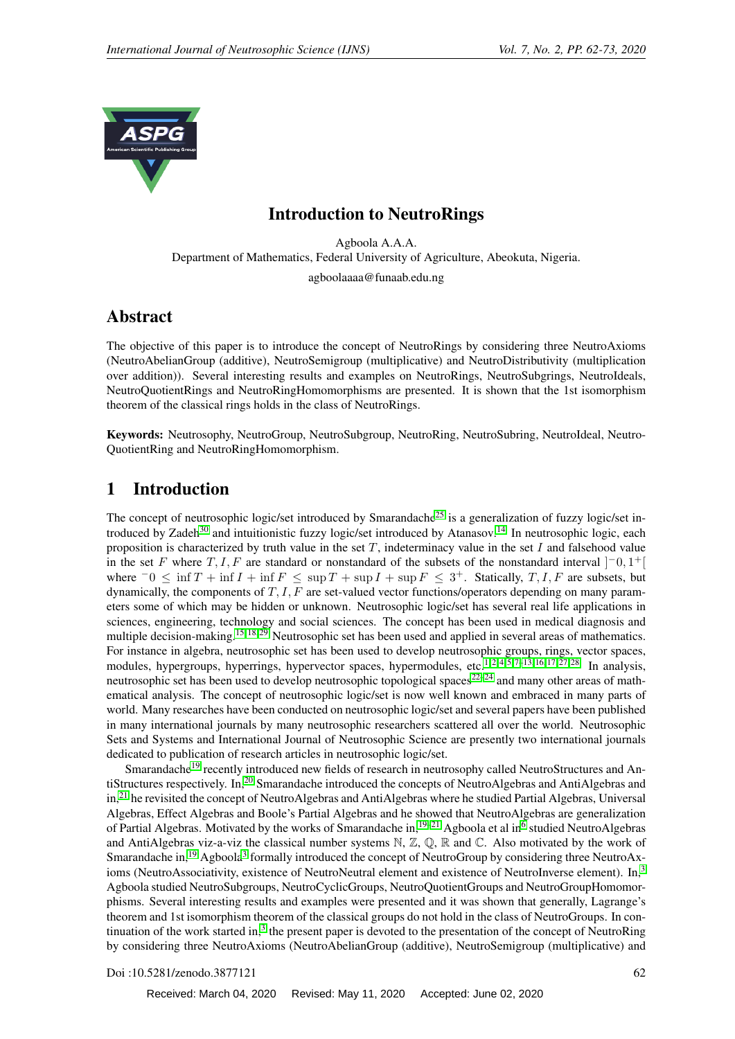

# Introduction to NeutroRings

Agboola A.A.A. Department of Mathematics, Federal University of Agriculture, Abeokuta, Nigeria. agboolaaaa@funaab.edu.ng

# Abstract

The objective of this paper is to introduce the concept of NeutroRings by considering three NeutroAxioms (NeutroAbelianGroup (additive), NeutroSemigroup (multiplicative) and NeutroDistributivity (multiplication over addition)). Several interesting results and examples on NeutroRings, NeutroSubgrings, NeutroIdeals, NeutroQuotientRings and NeutroRingHomomorphisms are presented. It is shown that the 1st isomorphism theorem of the classical rings holds in the class of NeutroRings.

Keywords: Neutrosophy, NeutroGroup, NeutroSubgroup, NeutroRing, NeutroSubring, NeutroIdeal, Neutro-QuotientRing and NeutroRingHomomorphism.

# 1 Introduction

The concept of neutrosophic logic/set introduced by Smarandache<sup>[25](#page-10-0)</sup> is a generalization of fuzzy logic/set in-troduced by Zadeh<sup>[30](#page-11-0)</sup> and intuitionistic fuzzy logic/set introduced by Atanasov.<sup>[14](#page-10-1)</sup> In neutrosophic logic, each proposition is characterized by truth value in the set  $T$ , indeterminacy value in the set  $I$  and falsehood value in the set F where  $T, I, F$  are standard or nonstandard of the subsets of the nonstandard interval  $]$ <sup>-</sup>0,1<sup>+</sup>[ where  $\overline{0} \le \inf T + \inf I + \inf F \le \sup T + \sup I + \sup F \le 3^+$ . Statically,  $T, I, F$  are subsets, but dynamically, the components of  $T, I, F$  are set-valued vector functions/operators depending on many parameters some of which may be hidden or unknown. Neutrosophic logic/set has several real life applications in sciences, engineering, technology and social sciences. The concept has been used in medical diagnosis and multiple decision-making.<sup>[15,](#page-10-2) [18,](#page-10-3) [29](#page-11-1)</sup> Neutrosophic set has been used and applied in several areas of mathematics. For instance in algebra, neutrosophic set has been used to develop neutrosophic groups, rings, vector spaces, modules, hypergroups, hyperrings, hypervector spaces, hypermodules, etc.<sup>[1,](#page-9-0)2,4,5,7[–13,](#page-10-5) [16,](#page-10-6) [17,](#page-10-7)27,28</sup> In analysis, neutrosophic set has been used to develop neutrosophic topological spaces<sup>[22–](#page-10-9)[24](#page-10-10)</sup> and many other areas of mathematical analysis. The concept of neutrosophic logic/set is now well known and embraced in many parts of world. Many researches have been conducted on neutrosophic logic/set and several papers have been published in many international journals by many neutrosophic researchers scattered all over the world. Neutrosophic Sets and Systems and International Journal of Neutrosophic Science are presently two international journals dedicated to publication of research articles in neutrosophic logic/set.

Smarandache<sup>[19](#page-10-11)</sup> recently introduced new fields of research in neutrosophy called NeutroStructures and An-tiStructures respectively. In,<sup>[20](#page-10-12)</sup> Smarandache introduced the concepts of NeutroAlgebras and AntiAlgebras and in,<sup>[21](#page-10-13)</sup> he revisited the concept of NeutroAlgebras and AntiAlgebras where he studied Partial Algebras, Universal Algebras, Effect Algebras and Boole's Partial Algebras and he showed that NeutroAlgebras are generalization of Partial Algebras. Motivated by the works of Smarandache in,<sup>[19](#page-10-11)[–21](#page-10-13)</sup> Agboola et al in<sup>[6](#page-9-4)</sup> studied NeutroAlgebras and AntiAlgebras viz-a-viz the classical number systems  $\mathbb{N}, \mathbb{Z}, \mathbb{Q}, \mathbb{R}$  and  $\mathbb{C}$ . Also motivated by the work of Smarandache in,<sup>[19](#page-10-11)</sup> Agboola<sup>[3](#page-9-5)</sup> formally introduced the concept of NeutroGroup by considering three NeutroAx-ioms (NeutroAssociativity, existence of NeutroNeutral element and existence of NeutroInverse element). In,<sup>[3](#page-9-5)</sup> Agboola studied NeutroSubgroups, NeutroCyclicGroups, NeutroQuotientGroups and NeutroGroupHomomorphisms. Several interesting results and examples were presented and it was shown that generally, Lagrange's theorem and 1st isomorphism theorem of the classical groups do not hold in the class of NeutroGroups. In con-tinuation of the work started in,<sup>[3](#page-9-5)</sup> the present paper is devoted to the presentation of the concept of NeutroRing by considering three NeutroAxioms (NeutroAbelianGroup (additive), NeutroSemigroup (multiplicative) and

Doi :10.5281/zenodo.3877121 62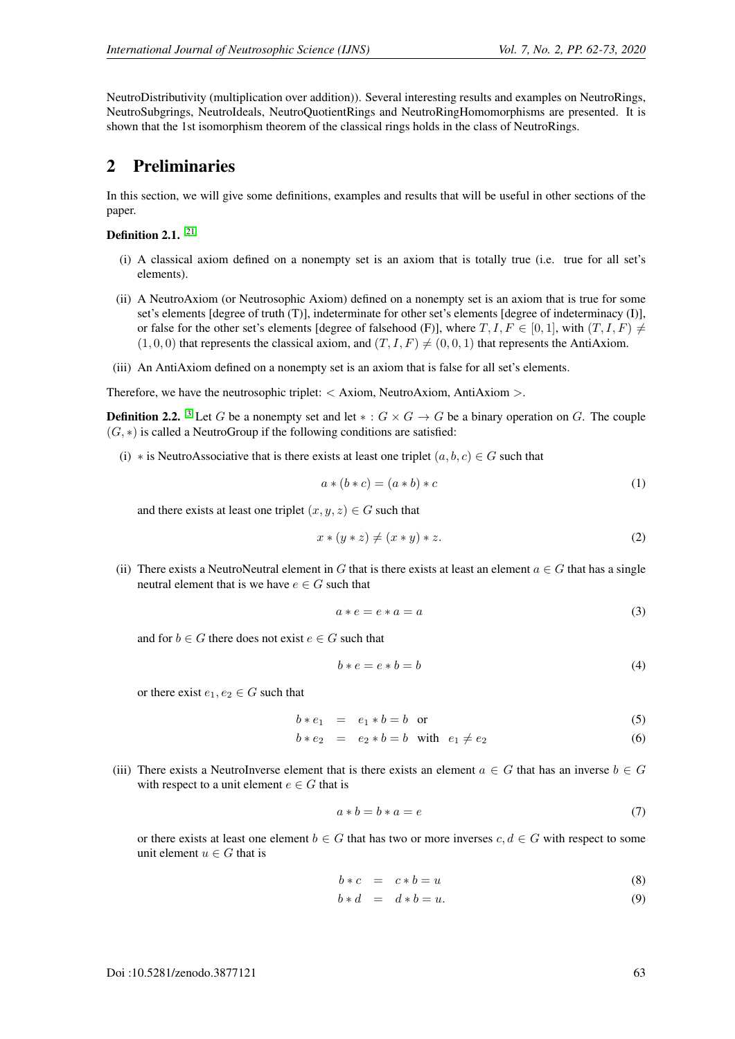NeutroDistributivity (multiplication over addition)). Several interesting results and examples on NeutroRings, NeutroSubgrings, NeutroIdeals, NeutroQuotientRings and NeutroRingHomomorphisms are presented. It is shown that the 1st isomorphism theorem of the classical rings holds in the class of NeutroRings.

## 2 Preliminaries

In this section, we will give some definitions, examples and results that will be useful in other sections of the paper.

Definition 2.1.<sup>[21](#page-10-13)</sup>

- (i) A classical axiom defined on a nonempty set is an axiom that is totally true (i.e. true for all set's elements).
- (ii) A NeutroAxiom (or Neutrosophic Axiom) defined on a nonempty set is an axiom that is true for some set's elements [degree of truth (T)], indeterminate for other set's elements [degree of indeterminacy (I)], or false for the other set's elements [degree of falsehood (F)], where  $T, I, F \in [0, 1]$ , with  $(T, I, F) \neq$  $(1, 0, 0)$  that represents the classical axiom, and  $(T, I, F) \neq (0, 0, 1)$  that represents the AntiAxiom.
- (iii) An AntiAxiom defined on a nonempty set is an axiom that is false for all set's elements.

Therefore, we have the neutrosophic triplet:  $\langle$  Axiom, NeutroAxiom, AntiAxiom  $\rangle$ .

**Definition 2.2.** <sup>[3](#page-9-5)</sup> Let G be a nonempty set and let  $* : G \times G \to G$  be a binary operation on G. The couple  $(G, *)$  is called a NeutroGroup if the following conditions are satisfied:

(i) \* is NeutroAssociative that is there exists at least one triplet  $(a, b, c) \in G$  such that

$$
a * (b * c) = (a * b) * c \tag{1}
$$

and there exists at least one triplet  $(x, y, z) \in G$  such that

$$
x * (y * z) \neq (x * y) * z.
$$
 (2)

(ii) There exists a NeutroNeutral element in G that is there exists at least an element  $a \in G$  that has a single neutral element that is we have  $e \in G$  such that

$$
a * e = e * a = a \tag{3}
$$

and for  $b \in G$  there does not exist  $e \in G$  such that

$$
b * e = e * b = b \tag{4}
$$

or there exist  $e_1, e_2 \in G$  such that

$$
b * e_1 = e_1 * b = b \quad \text{or} \tag{5}
$$

$$
b * e_2 = e_2 * b = b \quad \text{with} \quad e_1 \neq e_2 \tag{6}
$$

(iii) There exists a NeutroInverse element that is there exists an element  $a \in G$  that has an inverse  $b \in G$ with respect to a unit element  $e \in G$  that is

$$
a * b = b * a = e \tag{7}
$$

or there exists at least one element  $b \in G$  that has two or more inverses  $c, d \in G$  with respect to some unit element  $u \in G$  that is

$$
b * c = c * b = u \tag{8}
$$

$$
b * d = d * b = u.
$$
\n<sup>(9)</sup>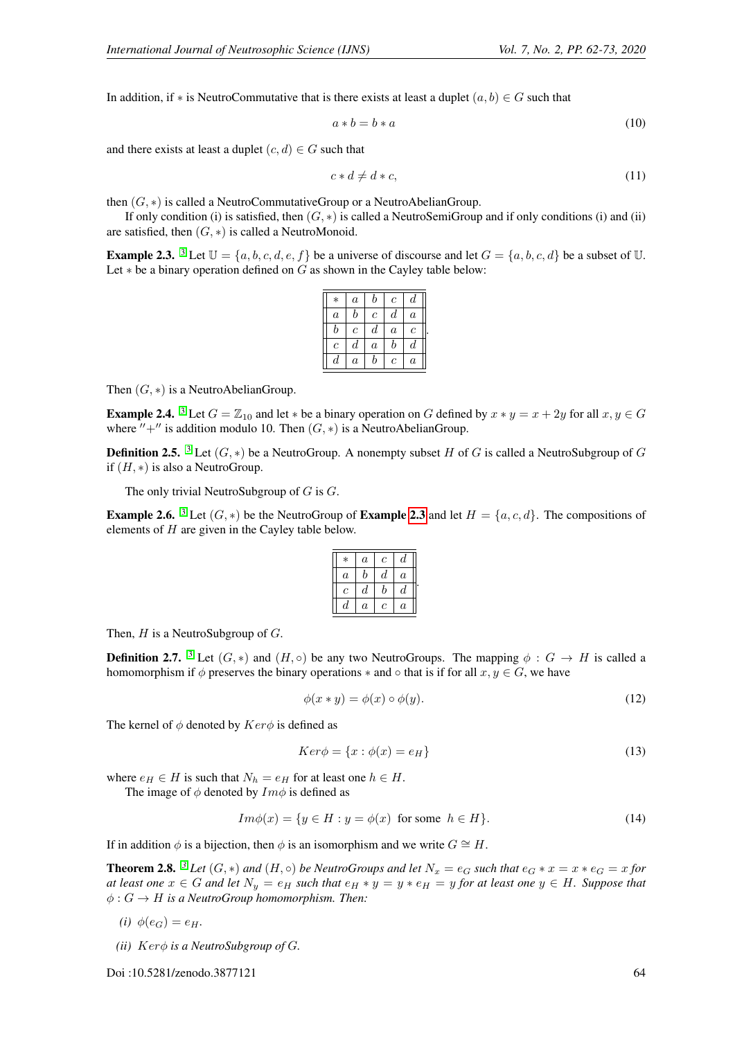In addition, if \* is NeutroCommutative that is there exists at least a duplet  $(a, b) \in G$  such that

$$
a * b = b * a \tag{10}
$$

and there exists at least a duplet  $(c, d) \in G$  such that

$$
c * d \neq d * c,\tag{11}
$$

then  $(G, *)$  is called a NeutroCommutativeGroup or a NeutroAbelianGroup.

If only condition (i) is satisfied, then  $(G, *)$  is called a NeutroSemiGroup and if only conditions (i) and (ii) are satisfied, then  $(G, *)$  is called a NeutroMonoid.

<span id="page-2-0"></span>**Example 2.[3](#page-9-5).** <sup>3</sup> Let  $\mathbb{U} = \{a, b, c, d, e, f\}$  be a universe of discourse and let  $G = \{a, b, c, d\}$  be a subset of  $\mathbb{U}$ . Let  $*$  be a binary operation defined on G as shown in the Cayley table below:

| $\ast$         | $\it a$        | b                     | $\mathfrak c$  | d              |  |
|----------------|----------------|-----------------------|----------------|----------------|--|
| $\overline{a}$ | b              | $\mathcal{C}_{0}^{2}$ | $\it d$        | $\overline{a}$ |  |
| b              | $\overline{c}$ | $\boldsymbol{d}$      | $\overline{a}$ | $\overline{c}$ |  |
| $\overline{c}$ | $_{d}$         | $\alpha$              | b              | $_{d}$         |  |
| $\it d$        | $\it a$        | b                     | c              | $\overline{a}$ |  |

Then  $(G, *)$  is a NeutroAbelianGroup.

**Example 2.4.** <sup>[3](#page-9-5)</sup> Let  $G = \mathbb{Z}_{10}$  and let  $*$  be a binary operation on G defined by  $x * y = x + 2y$  for all  $x, y \in G$ where  $'' +''$  is addition modulo 10. Then  $(G, *)$  is a NeutroAbelianGroup.

**Definition 2.5.** <sup>[3](#page-9-5)</sup> Let  $(G, *)$  be a NeutroGroup. A nonempty subset H of G is called a NeutroSubgroup of G if  $(H, *)$  is also a NeutroGroup.

The only trivial NeutroSubgroup of  $G$  is  $G$ .

**Example 2.6.** <sup>[3](#page-9-5)</sup> Let  $(G, *)$  be the NeutroGroup of **Example [2.3](#page-2-0)** and let  $H = \{a, c, d\}$ . The compositions of elements of  $H$  are given in the Cayley table below.

| $\ast$         | $\boldsymbol{a}$ | c | d       |  |
|----------------|------------------|---|---------|--|
| $\overline{a}$ | b                | d | $\it a$ |  |
| Ċ              | d                | b | d       |  |
| d              | $\boldsymbol{a}$ | c | $\it a$ |  |

Then,  $H$  is a NeutroSubgroup of  $G$ .

**Definition 2.7.** <sup>[3](#page-9-5)</sup> Let  $(G, *)$  and  $(H, \circ)$  be any two NeutroGroups. The mapping  $\phi : G \to H$  is called a homomorphism if  $\phi$  preserves the binary operations  $*$  and  $\circ$  that is if for all  $x, y \in G$ , we have

$$
\phi(x * y) = \phi(x) \circ \phi(y). \tag{12}
$$

The kernel of  $\phi$  denoted by  $Ker\phi$  is defined as

$$
Ker \phi = \{x : \phi(x) = e_H\}
$$
\n(13)

where  $e_H \in H$  is such that  $N_h = e_H$  for at least one  $h \in H$ .

The image of  $\phi$  denoted by  $Im \phi$  is defined as

$$
Im\phi(x) = \{ y \in H : y = \phi(x) \text{ for some } h \in H \}. \tag{14}
$$

If in addition  $\phi$  is a bijection, then  $\phi$  is an isomorphism and we write  $G \cong H$ .

**Theorem 2.8.** <sup>[3](#page-9-5)</sup> Let  $(G, *)$  and  $(H, \circ)$  be NeutroGroups and let  $N_x = e_G$  such that  $e_G * x = x * e_G = x$  for *at least one*  $x \in G$  *and let*  $N_y = e_H$  *such that*  $e_H * y = y * e_H = y$  *for at least one*  $y \in H$ *. Suppose that*  $\phi: G \to H$  *is a NeutroGroup homomorphism. Then:* 

*(i)*  $\phi(e_G) = e_H$ .

*(ii)*  $Ker\phi$  *is a NeutroSubgroup of G.* 

Doi :10.5281/zenodo.3877121 64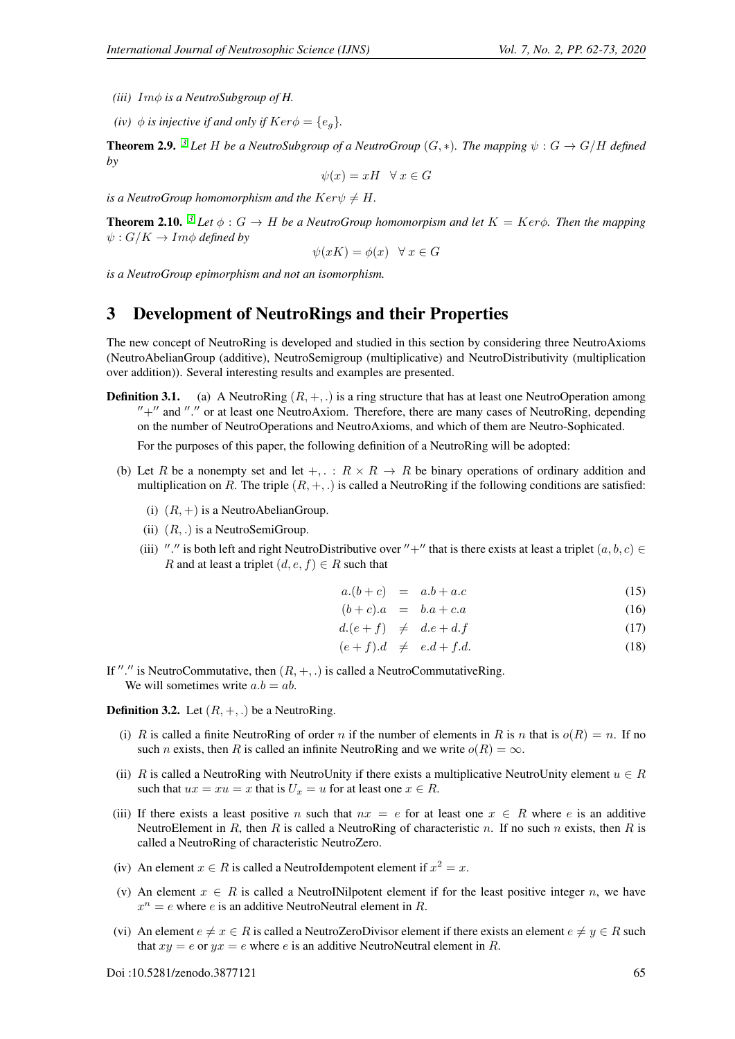- *(iii)* Imφ *is a NeutroSubgroup of H.*
- *(iv)*  $\phi$  *is injective if and only if*  $Ker\phi = \{e_a\}.$

**Theorem 2.9.** *<sup>[3](#page-9-5)</sup> Let* H *be a NeutroSubgroup of a NeutroGroup*  $(G, *)$ *. The mapping*  $\psi : G \to G/H$  *defined by*

$$
\psi(x) = xH \quad \forall \ x \in G
$$

*is a NeutroGroup homomorphism and the*  $Ker\psi \neq H$ .

**Theorem 2.10.** <sup>[3](#page-9-5)</sup> Let  $\phi$  :  $G \to H$  be a NeutroGroup homomorpism and let  $K = Ker\phi$ . Then the mapping  $\psi: G/K \to Im\phi$  *defined by* 

$$
\psi(xK) = \phi(x) \quad \forall \ x \in G
$$

*is a NeutroGroup epimorphism and not an isomorphism.*

## 3 Development of NeutroRings and their Properties

The new concept of NeutroRing is developed and studied in this section by considering three NeutroAxioms (NeutroAbelianGroup (additive), NeutroSemigroup (multiplicative) and NeutroDistributivity (multiplication over addition)). Several interesting results and examples are presented.

**Definition 3.1.** (a) A NeutroRing  $(R, +, .)$  is a ring structure that has at least one NeutroOperation among  $'' +''$  and "." or at least one NeutroAxiom. Therefore, there are many cases of NeutroRing, depending on the number of NeutroOperations and NeutroAxioms, and which of them are Neutro-Sophicated.

For the purposes of this paper, the following definition of a NeutroRing will be adopted:

- (b) Let R be a nonempty set and let  $+, \, : \, R \times R \to R$  be binary operations of ordinary addition and multiplication on R. The triple  $(R, +, \cdot)$  is called a NeutroRing if the following conditions are satisfied:
	- (i)  $(R, +)$  is a NeutroAbelianGroup.
	- (ii)  $(R, .)$  is a NeutroSemiGroup.
	- (iii) "." is both left and right NeutroDistributive over "+" that is there exists at least a triplet  $(a, b, c) \in$ R and at least a triplet  $(d, e, f) \in R$  such that

$$
a.(b+c) = a.b + a.c \tag{15}
$$

$$
(b+c).a = b.a + c.a \tag{16}
$$

$$
d.(e+f) \neq d.e + d.f \tag{17}
$$

$$
(e+f).d \neq e.d+f.d.
$$
\n
$$
(18)
$$

If "." is NeutroCommutative, then  $(R, +, .)$  is called a NeutroCommutativeRing. We will sometimes write  $a.b = ab$ .

**Definition 3.2.** Let  $(R, +, \cdot)$  be a NeutroRing.

- (i) R is called a finite NeutroRing of order n if the number of elements in R is n that is  $o(R) = n$ . If no such *n* exists, then R is called an infinite NeutroRing and we write  $o(R) = \infty$ .
- (ii) R is called a NeutroRing with NeutroUnity if there exists a multiplicative NeutroUnity element  $u \in R$ such that  $ux = xu = x$  that is  $U_x = u$  for at least one  $x \in R$ .
- (iii) If there exists a least positive n such that  $nx = e$  for at least one  $x \in R$  where e is an additive NeutroElement in R, then R is called a NeutroRing of characteristic n. If no such n exists, then R is called a NeutroRing of characteristic NeutroZero.
- (iv) An element  $x \in R$  is called a NeutroIdempotent element if  $x^2 = x$ .
- (v) An element  $x \in R$  is called a NeutroINilpotent element if for the least positive integer n, we have  $x^n = e$  where e is an additive NeutroNeutral element in R.
- (vi) An element  $e \neq x \in R$  is called a NeutroZeroDivisor element if there exists an element  $e \neq y \in R$  such that  $xy = e$  or  $yx = e$  where e is an additive NeutroNeutral element in R.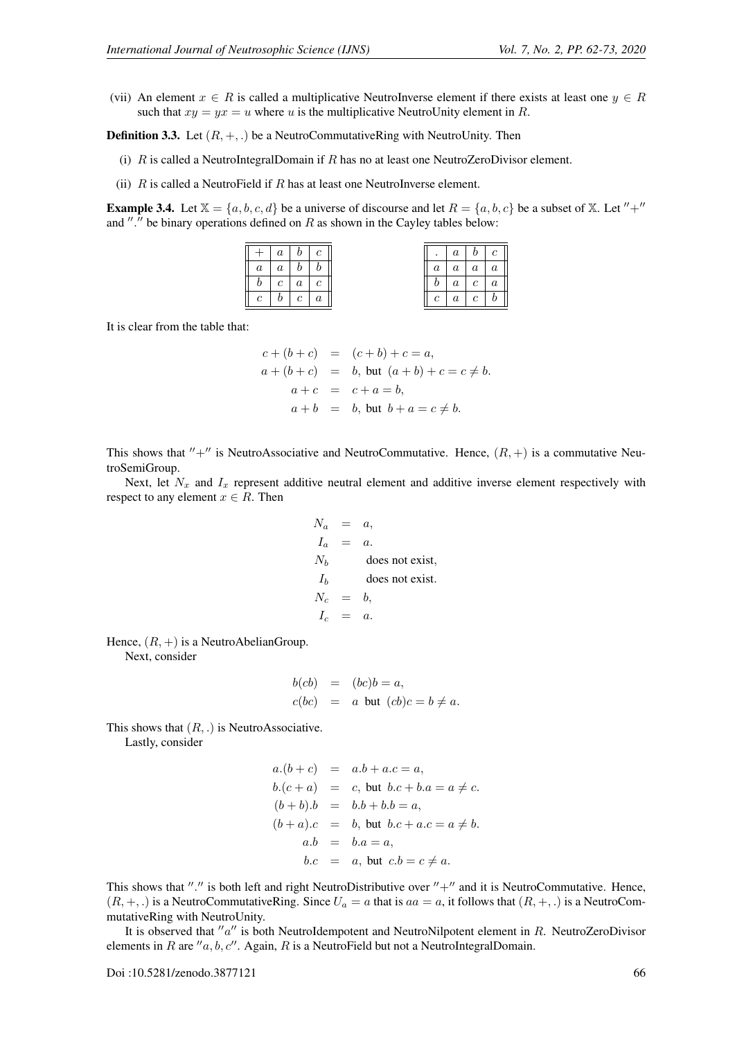(vii) An element  $x \in R$  is called a multiplicative NeutroInverse element if there exists at least one  $y \in R$ such that  $xy = yx = u$  where u is the multiplicative NeutroUnity element in R.

**Definition 3.3.** Let  $(R, +, \cdot)$  be a NeutroCommutativeRing with NeutroUnity. Then

- (i)  $R$  is called a NeutroIntegralDomain if  $R$  has no at least one NeutroZeroDivisor element.
- (ii)  $R$  is called a NeutroField if  $R$  has at least one NeutroInverse element.

<span id="page-4-0"></span>**Example 3.4.** Let  $\mathbb{X} = \{a, b, c, d\}$  be a universe of discourse and let  $R = \{a, b, c\}$  be a subset of  $\mathbb{X}$ . Let  $'' +''$ and "." be binary operations defined on  $R$  as shown in the Cayley tables below:

|                | $a \mid b \mid c$ |  |                | a <sub>1</sub> | b <sub>1</sub>    | $\overline{c}$ |
|----------------|-------------------|--|----------------|----------------|-------------------|----------------|
| $\overline{a}$ | $a \mid b \mid b$ |  | a              |                | $a \mid a \mid$   |                |
|                | $c \mid a \mid$   |  |                | $\it a$        | $\mathfrak{c}$    |                |
| $\epsilon$     | $b \mid c \mid$   |  | $\mathfrak{c}$ |                | $a \mid c \mid b$ |                |

It is clear from the table that:

$$
c + (b + c) = (c + b) + c = a,
$$
  
\n
$$
a + (b + c) = b, \text{ but } (a + b) + c = c \neq b.
$$
  
\n
$$
a + c = c + a = b,
$$
  
\n
$$
a + b = b, \text{ but } b + a = c \neq b.
$$

This shows that  $'' +''$  is NeutroAssociative and NeutroCommutative. Hence,  $(R, +)$  is a commutative NeutroSemiGroup.

Next, let  $N_x$  and  $I_x$  represent additive neutral element and additive inverse element respectively with respect to any element  $x \in R$ . Then

$$
N_a = a,
$$
  
\n
$$
I_a = a.
$$
  
\n
$$
N_b
$$
 does not exist,  
\n
$$
I_b
$$
 does not exist.  
\n
$$
N_c = b,
$$
  
\n
$$
I_c = a.
$$

Hence,  $(R, +)$  is a NeutroAbelianGroup.

Next, consider

$$
b(cb) = (bc)b = a,
$$
  

$$
c(bc) = a \text{ but } (cb)c = b \neq a.
$$

This shows that  $(R, .)$  is NeutroAssociative.

Lastly, consider

$$
a.(b + c) = a.b + a.c = a,
$$
  
\n
$$
b.(c + a) = c, \text{ but } b.c + b.a = a \neq c.
$$
  
\n
$$
(b + b).b = b.b + b.b = a,
$$
  
\n
$$
(b + a).c = b, \text{ but } b.c + a.c = a \neq b.
$$
  
\n
$$
a.b = b.a = a,
$$
  
\n
$$
b.c = a, \text{ but } c.b = c \neq a.
$$

This shows that "." is both left and right NeutroDistributive over  $" +"$  and it is NeutroCommutative. Hence,  $(R, +, .)$  is a NeutroCommutativeRing. Since  $U_a = a$  that is  $aa = a$ , it follows that  $(R, +, .)$  is a NeutroCommutativeRing with NeutroUnity.

It is observed that  $a''$  is both NeutroIdempotent and NeutroNilpotent element in R. NeutroZeroDivisor elements in R are  $''a, b, c''$ . Again, R is a NeutroField but not a NeutroIntegralDomain.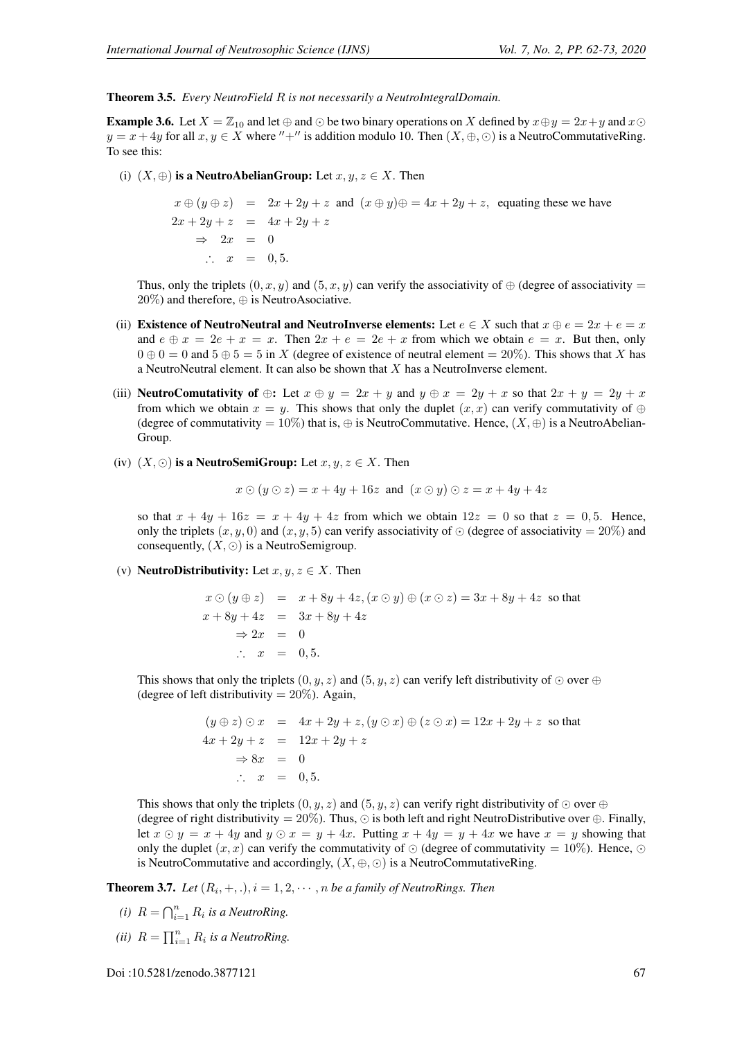Theorem 3.5. *Every NeutroField* R *is not necessarily a NeutroIntegralDomain.*

**Example 3.6.** Let  $X = \mathbb{Z}_{10}$  and let  $\oplus$  and  $\odot$  be two binary operations on X defined by  $x \oplus y = 2x + y$  and  $x \odot$  $y = x + 4y$  for all  $x, y \in X$  where "+" is addition modulo 10. Then  $(X, \oplus, \odot)$  is a NeutroCommutativeRing. To see this:

(i)  $(X, \oplus)$  is a NeutroAbelianGroup: Let  $x, y, z \in X$ . Then

$$
x \oplus (y \oplus z) = 2x + 2y + z \text{ and } (x \oplus y) \oplus z = 4x + 2y + z, \text{ equating these we have}
$$
  
\n
$$
2x + 2y + z = 4x + 2y + z
$$
  
\n
$$
\Rightarrow 2x = 0
$$
  
\n
$$
\therefore x = 0,5.
$$

Thus, only the triplets  $(0, x, y)$  and  $(5, x, y)$  can verify the associativity of  $\oplus$  (degree of associativity =  $20\%$ ) and therefore,  $\oplus$  is NeutroAsociative.

- (ii) Existence of NeutroNeutral and NeutroInverse elements: Let  $e \in X$  such that  $x \oplus e = 2x + e = x$ and  $e \oplus x = 2e + x = x$ . Then  $2x + e = 2e + x$  from which we obtain  $e = x$ . But then, only  $0 \oplus 0 = 0$  and  $5 \oplus 5 = 5$  in X (degree of existence of neutral element = 20%). This shows that X has a NeutroNeutral element. It can also be shown that X has a NeutroInverse element.
- (iii) NeutroComutativity of  $\oplus$ : Let  $x \oplus y = 2x + y$  and  $y \oplus x = 2y + x$  so that  $2x + y = 2y + x$ from which we obtain  $x = y$ . This shows that only the duplet  $(x, x)$  can verify commutativity of  $\oplus$ (degree of commutativity =  $10\%$ ) that is,  $\oplus$  is NeutroCommutative. Hence,  $(X, \oplus)$  is a NeutroAbelian-Group.
- (iv)  $(X, \odot)$  is a NeutroSemiGroup: Let  $x, y, z \in X$ . Then

$$
x \odot (y \odot z) = x + 4y + 16z \text{ and } (x \odot y) \odot z = x + 4y + 4z
$$

so that  $x + 4y + 16z = x + 4y + 4z$  from which we obtain  $12z = 0$  so that  $z = 0, 5$ . Hence, only the triplets  $(x, y, 0)$  and  $(x, y, 5)$  can verify associativity of  $\odot$  (degree of associativity = 20%) and consequently,  $(X, \odot)$  is a NeutroSemigroup.

(v) **NeutroDistributivity:** Let  $x, y, z \in X$ . Then

$$
x \odot (y \oplus z) = x + 8y + 4z, (x \odot y) \oplus (x \odot z) = 3x + 8y + 4z \text{ so that}
$$
  
\n
$$
x + 8y + 4z = 3x + 8y + 4z
$$
  
\n
$$
\Rightarrow 2x = 0
$$
  
\n
$$
\therefore x = 0, 5.
$$

This shows that only the triplets  $(0, y, z)$  and  $(5, y, z)$  can verify left distributivity of  $\odot$  over  $\oplus$ (degree of left distributivity  $= 20\%$ ). Again,

$$
(y \oplus z) \odot x = 4x + 2y + z, (y \odot x) \oplus (z \odot x) = 12x + 2y + z \text{ so that}
$$
  
\n
$$
4x + 2y + z = 12x + 2y + z
$$
  
\n
$$
\Rightarrow 8x = 0
$$
  
\n
$$
\therefore x = 0,5.
$$

This shows that only the triplets  $(0, y, z)$  and  $(5, y, z)$  can verify right distributivity of  $\odot$  over  $\oplus$ (degree of right distributivity = 20%). Thus,  $\odot$  is both left and right NeutroDistributive over  $\oplus$ . Finally, let  $x \odot y = x + 4y$  and  $y \odot x = y + 4x$ . Putting  $x + 4y = y + 4x$  we have  $x = y$  showing that only the duplet  $(x, x)$  can verify the commutativity of  $\odot$  (degree of commutativity = 10%). Hence,  $\odot$ is NeutroCommutative and accordingly,  $(X, \oplus, \odot)$  is a NeutroCommutativeRing.

**Theorem 3.7.** Let  $(R_i, +, \cdot), i = 1, 2, \cdots, n$  be a family of NeutroRings. Then

- *(i)*  $R = \bigcap_{i=1}^{n} R_i$  *is a NeutroRing.*
- *(ii)*  $R = \prod_{i=1}^{n} R_i$  *is a NeutroRing.*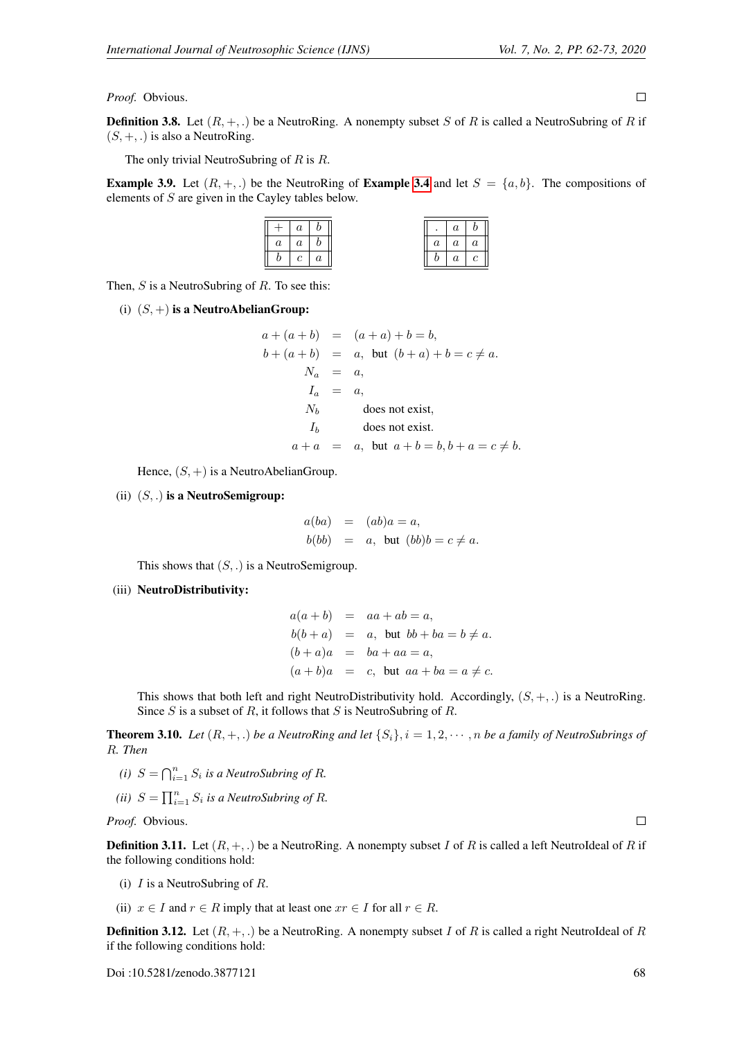**Definition 3.8.** Let  $(R, +, \cdot)$  be a NeutroRing. A nonempty subset S of R is called a NeutroSubring of R if  $(S, +, .)$  is also a NeutroRing.

The only trivial NeutroSubring of  $R$  is  $R$ .

<span id="page-6-0"></span>**Example 3.9.** Let  $(R, +, \cdot)$  be the NeutroRing of **Example [3.4](#page-4-0)** and let  $S = \{a, b\}$ . The compositions of elements of S are given in the Cayley tables below.

|                | $\it a$ | $\lfloor b \rfloor$              |                | $\boldsymbol{a}$ | $\boldsymbol{b}$ |
|----------------|---------|----------------------------------|----------------|------------------|------------------|
| $\overline{a}$ | $\it a$ | $\begin{array}{c} b \end{array}$ | $\,a$          | $\boldsymbol{a}$ | $\overline{a}$   |
| b              |         | $\boldsymbol{a}$                 | $\overline{v}$ | $\boldsymbol{a}$ | $\boldsymbol{c}$ |

Then,  $S$  is a NeutroSubring of  $R$ . To see this:

(i)  $(S,+)$  is a NeutroAbelianGroup:

$$
a + (a + b) = (a + a) + b = b,
$$
  
\n
$$
b + (a + b) = a, \text{ but } (b + a) + b = c \neq a.
$$
  
\n
$$
N_a = a,
$$
  
\n
$$
I_a = a,
$$
  
\n
$$
N_b \qquad \text{does not exist,}
$$
  
\n
$$
I_b \qquad \text{does not exist.}
$$
  
\n
$$
a + a = a, \text{ but } a + b = b, b + a = c \neq b.
$$

Hence,  $(S, +)$  is a NeutroAbelianGroup.

(ii)  $(S, .)$  is a NeutroSemigroup:

$$
a(ba) = (ab)a = a,
$$
  
\n
$$
b(bb) = a, \text{ but } (bb)b = c \neq a.
$$

This shows that  $(S, .)$  is a NeutroSemigroup.

### (iii) NeutroDistributivity:

|  | $a(a+b) = aa + ab = a,$                     |
|--|---------------------------------------------|
|  | $b(b+a) = a$ , but $bb + ba = b \neq a$ .   |
|  | $(b+a)a = ba + aa = a,$                     |
|  | $(a + b)a = c$ , but $aa + ba = a \neq c$ . |

This shows that both left and right NeutroDistributivity hold. Accordingly,  $(S, +, .)$  is a NeutroRing. Since S is a subset of R, it follows that S is NeutroSubring of R.

**Theorem 3.10.** *Let*  $(R, +, .)$  *be a NeutroRing and let*  $\{S_i\}$ ,  $i = 1, 2, \dots, n$  *be a family of NeutroSubrings of* R*. Then*

- *(i)*  $S = \bigcap_{i=1}^{n} S_i$  *is a NeutroSubring of R.*
- *(ii)*  $S = \prod_{i=1}^{n} S_i$  *is a NeutroSubring of R.*

*Proof.* Obvious.

**Definition 3.11.** Let  $(R, +, \cdot)$  be a NeutroRing. A nonempty subset I of R is called a left NeutroIdeal of R if the following conditions hold:

- (i)  $I$  is a NeutroSubring of  $R$ .
- (ii)  $x \in I$  and  $r \in R$  imply that at least one  $xr \in I$  for all  $r \in R$ .

**Definition 3.12.** Let  $(R, +, \cdot)$  be a NeutroRing. A nonempty subset I of R is called a right NeutroIdeal of R if the following conditions hold:

 $\boldsymbol{b}$  $\overline{a}$   $\Box$ 

 $\Box$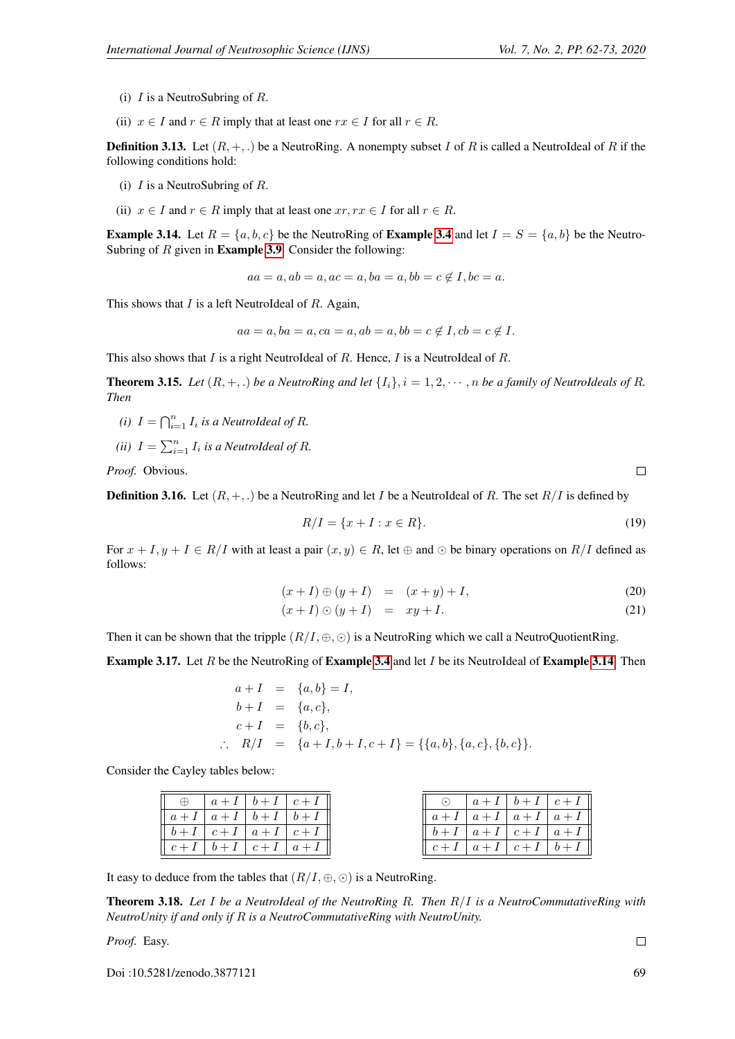- (i)  $I$  is a NeutroSubring of  $R$ .
- (ii)  $x \in I$  and  $r \in R$  imply that at least one  $rx \in I$  for all  $r \in R$ .

**Definition 3.13.** Let  $(R, +, \cdot)$  be a NeutroRing. A nonempty subset I of R is called a NeutroIdeal of R if the following conditions hold:

- (i)  $I$  is a NeutroSubring of  $R$ .
- (ii)  $x \in I$  and  $r \in R$  imply that at least one  $xr, rx \in I$  for all  $r \in R$ .

<span id="page-7-0"></span>**Example 3.14.** Let  $R = \{a, b, c\}$  be the NeutroRing of **Example [3.4](#page-4-0)** and let  $I = S = \{a, b\}$  be the Neutro-Subring of  $R$  given in **Example [3.9](#page-6-0)**. Consider the following:

 $aa = a, ab = a, ac = a, ba = a, bb = c \notin I, bc = a.$ 

This shows that  $I$  is a left NeutroIdeal of  $R$ . Again,

$$
aa = a, ba = a, ca = a, ab = a, bb = c \notin I, cb = c \notin I.
$$

This also shows that  $I$  is a right NeutroIdeal of  $R$ . Hence,  $I$  is a NeutroIdeal of  $R$ .

**Theorem 3.15.** *Let*  $(R, +, .$  *be a NeutroRing and let*  $\{I_i\}$ ,  $i = 1, 2, \dots, n$  *be a family of NeutroIdeals of R. Then*

- *(i)*  $I = \bigcap_{i=1}^n I_i$  *is a NeutroIdeal of R.*
- *(ii)*  $I = \sum_{i=1}^{n} I_i$  *is a NeutroIdeal of R.*

*Proof.* Obvious.

**Definition 3.16.** Let  $(R, +, \cdot)$  be a NeutroRing and let I be a NeutroIdeal of R. The set  $R/I$  is defined by

$$
R/I = \{x + I : x \in R\}.
$$
 (19)

For  $x + I, y + I \in R/I$  with at least a pair  $(x, y) \in R$ , let  $\oplus$  and  $\odot$  be binary operations on  $R/I$  defined as follows:

$$
(x+I) \oplus (y+I) = (x+y) + I,
$$
\n(20)

$$
(x+I)\odot(y+I) = xy+I.
$$
\n(21)

Then it can be shown that the tripple  $(R/I, \oplus, \odot)$  is a NeutroRing which we call a NeutroQuotientRing.

**Example 3.17.** Let R be the NeutroRing of **Example [3.4](#page-4-0)** and let I be its NeutroIdeal of **Example [3.14](#page-7-0)**. Then

$$
a + I = \{a, b\} = I,
$$
  
\n
$$
b + I = \{a, c\},
$$
  
\n
$$
c + I = \{b, c\},
$$
  
\n
$$
R/I = \{a + I, b + I, c + I\} = \{\{a, b\}, \{a, c\}, \{b, c\}\}.
$$

Consider the Cayley tables below:

|  |                         | $ a+I b+I c+I $                       |       | $\alpha$       |
|--|-------------------------|---------------------------------------|-------|----------------|
|  | $a+I$ $a+I$ $b+I$ $b+I$ |                                       | $a+I$ | $\overline{a}$ |
|  | $b+I$ $c+I$ $a+I$ $c+I$ |                                       | $b+I$ | $\overline{a}$ |
|  |                         | $c+I \mid b+I \mid c+I \mid a+I \mid$ | $c+I$ | $\overline{a}$ |
|  |                         |                                       |       |                |

| $\left( \bullet \right)$ |                                  | $a+I \mid b+I \mid c+I$ |  |
|--------------------------|----------------------------------|-------------------------|--|
|                          | $a+I \mid a+I \mid a+I \mid a+I$ |                         |  |
|                          | $b+I \mid a+I \mid c+I \mid a+I$ |                         |  |
|                          | $c+I \mid a+I \mid c+I \mid b+I$ |                         |  |

It easy to deduce from the tables that  $(R/I, \oplus, \odot)$  is a NeutroRing.

Theorem 3.18. *Let* I *be a NeutroIdeal of the NeutroRing* R*. Then* R/I *is a NeutroCommutativeRing with NeutroUnity if and only if* R *is a NeutroCommutativeRing with NeutroUnity.*

*Proof.* Easy.

Doi :10.5281/zenodo.3877121 69

 $\Box$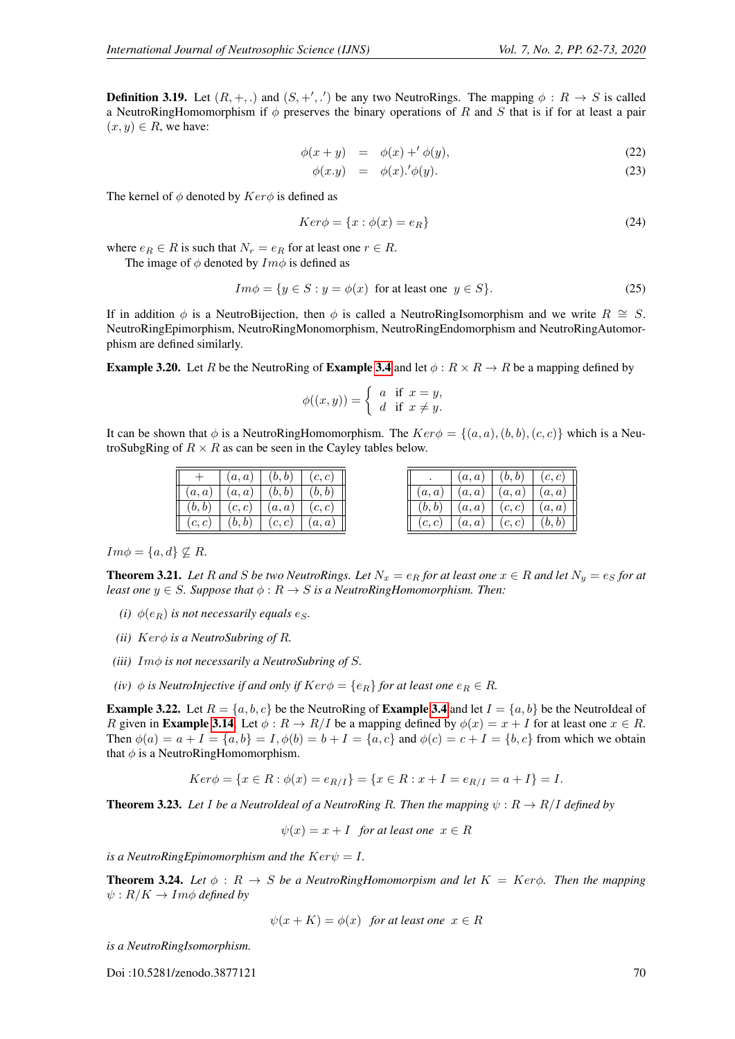**Definition 3.19.** Let  $(R, +, .)$  and  $(S, +', .')$  be any two NeutroRings. The mapping  $\phi : R \to S$  is called a NeutroRingHomomorphism if  $\phi$  preserves the binary operations of R and S that is if for at least a pair  $(x, y) \in R$ , we have:

$$
\phi(x+y) = \phi(x) +' \phi(y), \qquad (22)
$$

$$
\phi(x.y) = \phi(x) \cdot \phi(y). \tag{23}
$$

The kernel of  $\phi$  denoted by  $Ker\phi$  is defined as

$$
Ker \phi = \{x : \phi(x) = e_R\}
$$
\n(24)

where  $e_R \in R$  is such that  $N_r = e_R$  for at least one  $r \in R$ .

The image of  $\phi$  denoted by  $Im \phi$  is defined as

$$
Im \phi = \{ y \in S : y = \phi(x) \text{ for at least one } y \in S \}. \tag{25}
$$

If in addition  $\phi$  is a NeutroBijection, then  $\phi$  is called a NeutroRingIsomorphism and we write  $R \cong S$ . NeutroRingEpimorphism, NeutroRingMonomorphism, NeutroRingEndomorphism and NeutroRingAutomorphism are defined similarly.

**Example 3.20.** Let R be the NeutroRing of **Example [3.4](#page-4-0)** and let  $\phi$ :  $R \times R \rightarrow R$  be a mapping defined by

$$
\phi((x,y)) = \begin{cases} a & \text{if } x = y, \\ d & \text{if } x \neq y. \end{cases}
$$

It can be shown that  $\phi$  is a NeutroRingHomomorphism. The  $Ker \phi = \{(a, a), (b, b), (c, c)\}\$  which is a NeutroSubgRing of  $R \times R$  as can be seen in the Cayley tables below.

| $^{+}$ | (a,a)  | (b, b) | (c, c) |
|--------|--------|--------|--------|
| (a,a)  | (a,a)  | (b, b) | (b, b) |
| (b,b)  | (c, c) | (a,a)  | (c, c) |
| (c, c) | (b,b)  | (c, c) | (a,a)  |

|        | (a,a) | (b, b) | (c, c) |
|--------|-------|--------|--------|
| (a,a)  | (a,a) | (a,a)  | (a,a)  |
| (b,b)  | (a,a) | (c, c) | (a,a)  |
| (c, c) | (a,a) | (c, c) | (b, b) |

 $Im \phi = \{a, d\} \nsubseteq R$ .

**Theorem 3.21.** *Let* R and S be two NeutroRings. Let  $N_x = e_R$  for at least one  $x \in R$  and let  $N_y = e_S$  for at *least one*  $y \in S$ *. Suppose that*  $\phi : R \to S$  *is a NeutroRingHomomorphism. Then:* 

- *(i)*  $\phi(e_R)$  *is not necessarily equals e<sub>S</sub>.*
- *(ii)* Kerφ *is a NeutroSubring of* R*.*
- *(iii)* Imφ *is not necessarily a NeutroSubring of* S*.*
- *(iv)*  $\phi$  *is NeutroInjective if and only if*  $Ker\phi = \{e_R\}$  *for at least one*  $e_R \in R$ *.*

**Example 3.22.** Let  $R = \{a, b, c\}$  be the NeutroRing of **Example [3.4](#page-4-0)** and let  $I = \{a, b\}$  be the NeutroIdeal of R given in **Example [3.14](#page-7-0)**. Let  $\phi : R \to R/I$  be a mapping defined by  $\phi(x) = x + I$  for at least one  $x \in R$ . Then  $\phi(a) = a + I = \{a, b\} = I$ ,  $\phi(b) = b + I = \{a, c\}$  and  $\phi(c) = c + I = \{b, c\}$  from which we obtain that  $\phi$  is a NeutroRingHomomorphism.

$$
Ker \phi = \{x \in R : \phi(x) = e_{R/I}\} = \{x \in R : x + I = e_{R/I} = a + I\} = I.
$$

**Theorem 3.23.** Let I be a NeutroIdeal of a NeutroRing R. Then the mapping  $\psi : R \to R/I$  defined by

$$
\psi(x) = x + I
$$
 for at least one  $x \in R$ 

*is a NeutroRingEpimomorphism and the*  $Ker\psi = I$ .

**Theorem 3.24.** Let  $\phi$  :  $R \rightarrow S$  be a NeutroRingHomomorpism and let  $K = Ker\phi$ . Then the mapping  $\psi: R/K \to Im\phi$  *defined by* 

$$
\psi(x+K) = \phi(x)
$$
 for at least one  $x \in R$ 

*is a NeutroRingIsomorphism.*

Doi :10.5281/zenodo.3877121 70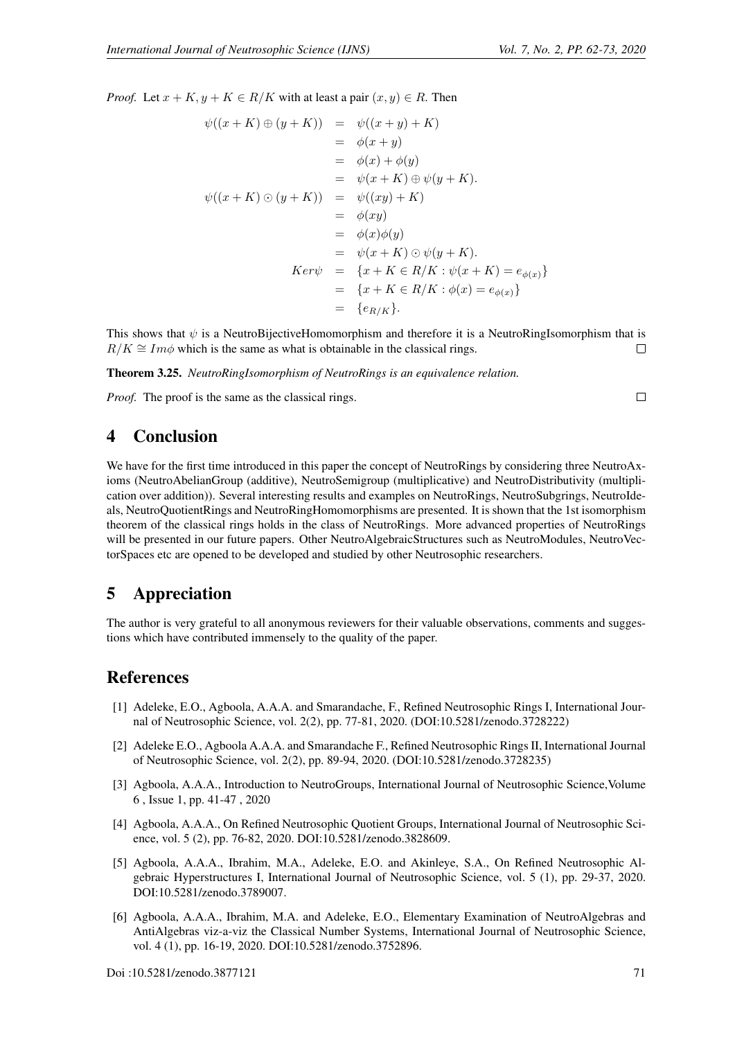*Proof.* Let  $x + K$ ,  $y + K \in R/K$  with at least a pair  $(x, y) \in R$ . Then

$$
\psi((x+K)\oplus (y+K)) = \psi((x+y)+K)
$$
  
\n
$$
= \phi(x+y)
$$
  
\n
$$
= \phi(x+y)
$$
  
\n
$$
= \phi(x)+\phi(y)
$$
  
\n
$$
= \psi(x+K) \oplus \psi(y+K).
$$
  
\n
$$
\psi((x+K)\odot (y+K)) = \psi((xy)+K)
$$
  
\n
$$
= \phi(xy)
$$
  
\n
$$
= \phi(xy)
$$
  
\n
$$
= \phi(x)\phi(y)
$$
  
\n
$$
= \psi(x+K)\odot \psi(y+K).
$$
  
\n
$$
Ker\psi = \{x+K\in R/K : \psi(x+K) = e_{\phi(x)}\}
$$
  
\n
$$
= \{x+K\in R/K : \phi(x) = e_{\phi(x)}\}
$$
  
\n
$$
= \{e_{R/K}\}.
$$

This shows that  $\psi$  is a NeutroBijectiveHomomorphism and therefore it is a NeutroRingIsomorphism that is  $R/K \cong Im\phi$  which is the same as what is obtainable in the classical rings.  $\Box$ 

Theorem 3.25. *NeutroRingIsomorphism of NeutroRings is an equivalence relation.*

*Proof.* The proof is the same as the classical rings.

 $\Box$ 

## 4 Conclusion

We have for the first time introduced in this paper the concept of NeutroRings by considering three NeutroAxioms (NeutroAbelianGroup (additive), NeutroSemigroup (multiplicative) and NeutroDistributivity (multiplication over addition)). Several interesting results and examples on NeutroRings, NeutroSubgrings, NeutroIdeals, NeutroQuotientRings and NeutroRingHomomorphisms are presented. It is shown that the 1st isomorphism theorem of the classical rings holds in the class of NeutroRings. More advanced properties of NeutroRings will be presented in our future papers. Other NeutroAlgebraicStructures such as NeutroModules, NeutroVectorSpaces etc are opened to be developed and studied by other Neutrosophic researchers.

# 5 Appreciation

The author is very grateful to all anonymous reviewers for their valuable observations, comments and suggestions which have contributed immensely to the quality of the paper.

## References

- <span id="page-9-0"></span>[1] Adeleke, E.O., Agboola, A.A.A. and Smarandache, F., Refined Neutrosophic Rings I, International Journal of Neutrosophic Science, vol. 2(2), pp. 77-81, 2020. (DOI:10.5281/zenodo.3728222)
- <span id="page-9-1"></span>[2] Adeleke E.O., Agboola A.A.A. and Smarandache F., Refined Neutrosophic Rings II, International Journal of Neutrosophic Science, vol. 2(2), pp. 89-94, 2020. (DOI:10.5281/zenodo.3728235)
- <span id="page-9-5"></span>[3] Agboola, A.A.A., Introduction to NeutroGroups, International Journal of Neutrosophic Science,Volume 6 , Issue 1, pp. 41-47 , 2020
- <span id="page-9-2"></span>[4] Agboola, A.A.A., On Refined Neutrosophic Quotient Groups, International Journal of Neutrosophic Science, vol. 5 (2), pp. 76-82, 2020. DOI:10.5281/zenodo.3828609.
- <span id="page-9-3"></span>[5] Agboola, A.A.A., Ibrahim, M.A., Adeleke, E.O. and Akinleye, S.A., On Refined Neutrosophic Algebraic Hyperstructures I, International Journal of Neutrosophic Science, vol. 5 (1), pp. 29-37, 2020. DOI:10.5281/zenodo.3789007.
- <span id="page-9-4"></span>[6] Agboola, A.A.A., Ibrahim, M.A. and Adeleke, E.O., Elementary Examination of NeutroAlgebras and AntiAlgebras viz-a-viz the Classical Number Systems, International Journal of Neutrosophic Science, vol. 4 (1), pp. 16-19, 2020. DOI:10.5281/zenodo.3752896.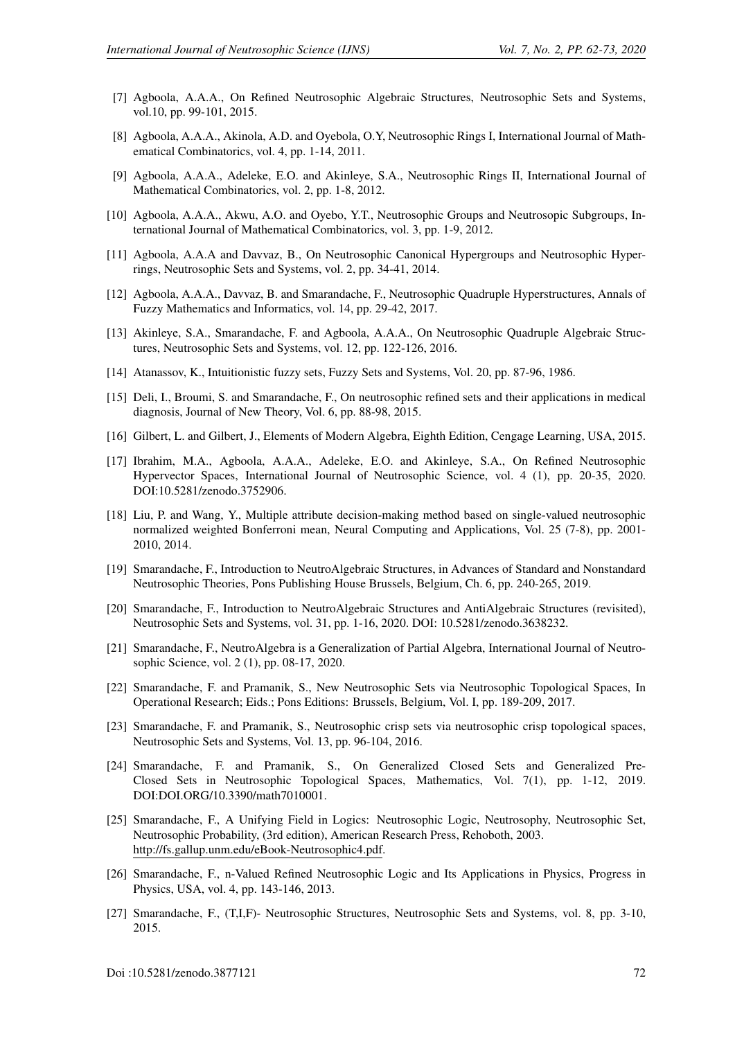- <span id="page-10-4"></span>[7] Agboola, A.A.A., On Refined Neutrosophic Algebraic Structures, Neutrosophic Sets and Systems, vol.10, pp. 99-101, 2015.
- [8] Agboola, A.A.A., Akinola, A.D. and Oyebola, O.Y, Neutrosophic Rings I, International Journal of Mathematical Combinatorics, vol. 4, pp. 1-14, 2011.
- [9] Agboola, A.A.A., Adeleke, E.O. and Akinleye, S.A., Neutrosophic Rings II, International Journal of Mathematical Combinatorics, vol. 2, pp. 1-8, 2012.
- [10] Agboola, A.A.A., Akwu, A.O. and Oyebo, Y.T., Neutrosophic Groups and Neutrosopic Subgroups, International Journal of Mathematical Combinatorics, vol. 3, pp. 1-9, 2012.
- [11] Agboola, A.A.A and Davvaz, B., On Neutrosophic Canonical Hypergroups and Neutrosophic Hyperrings, Neutrosophic Sets and Systems, vol. 2, pp. 34-41, 2014.
- [12] Agboola, A.A.A., Davvaz, B. and Smarandache, F., Neutrosophic Quadruple Hyperstructures, Annals of Fuzzy Mathematics and Informatics, vol. 14, pp. 29-42, 2017.
- <span id="page-10-5"></span>[13] Akinleye, S.A., Smarandache, F. and Agboola, A.A.A., On Neutrosophic Quadruple Algebraic Structures, Neutrosophic Sets and Systems, vol. 12, pp. 122-126, 2016.
- <span id="page-10-1"></span>[14] Atanassov, K., Intuitionistic fuzzy sets, Fuzzy Sets and Systems, Vol. 20, pp. 87-96, 1986.
- <span id="page-10-2"></span>[15] Deli, I., Broumi, S. and Smarandache, F., On neutrosophic refined sets and their applications in medical diagnosis, Journal of New Theory, Vol. 6, pp. 88-98, 2015.
- <span id="page-10-6"></span>[16] Gilbert, L. and Gilbert, J., Elements of Modern Algebra, Eighth Edition, Cengage Learning, USA, 2015.
- <span id="page-10-7"></span>[17] Ibrahim, M.A., Agboola, A.A.A., Adeleke, E.O. and Akinleye, S.A., On Refined Neutrosophic Hypervector Spaces, International Journal of Neutrosophic Science, vol. 4 (1), pp. 20-35, 2020. DOI:10.5281/zenodo.3752906.
- <span id="page-10-3"></span>[18] Liu, P. and Wang, Y., Multiple attribute decision-making method based on single-valued neutrosophic normalized weighted Bonferroni mean, Neural Computing and Applications, Vol. 25 (7-8), pp. 2001- 2010, 2014.
- <span id="page-10-11"></span>[19] Smarandache, F., Introduction to NeutroAlgebraic Structures, in Advances of Standard and Nonstandard Neutrosophic Theories, Pons Publishing House Brussels, Belgium, Ch. 6, pp. 240-265, 2019.
- <span id="page-10-12"></span>[20] Smarandache, F., Introduction to NeutroAlgebraic Structures and AntiAlgebraic Structures (revisited), Neutrosophic Sets and Systems, vol. 31, pp. 1-16, 2020. DOI: 10.5281/zenodo.3638232.
- <span id="page-10-13"></span>[21] Smarandache, F., NeutroAlgebra is a Generalization of Partial Algebra, International Journal of Neutrosophic Science, vol. 2 (1), pp. 08-17, 2020.
- <span id="page-10-9"></span>[22] Smarandache, F. and Pramanik, S., New Neutrosophic Sets via Neutrosophic Topological Spaces, In Operational Research; Eids.; Pons Editions: Brussels, Belgium, Vol. I, pp. 189-209, 2017.
- [23] Smarandache, F. and Pramanik, S., Neutrosophic crisp sets via neutrosophic crisp topological spaces, Neutrosophic Sets and Systems, Vol. 13, pp. 96-104, 2016.
- <span id="page-10-10"></span>[24] Smarandache, F. and Pramanik, S., On Generalized Closed Sets and Generalized Pre-Closed Sets in Neutrosophic Topological Spaces, Mathematics, Vol. 7(1), pp. 1-12, 2019. DOI:DOI.ORG/10.3390/math7010001.
- <span id="page-10-0"></span>[25] Smarandache, F., A Unifying Field in Logics: Neutrosophic Logic, Neutrosophy, Neutrosophic Set, Neutrosophic Probability, (3rd edition), American Research Press, Rehoboth, 2003. http://fs.gallup.unm.edu/eBook-Neutrosophic4.pdf.
- [26] Smarandache, F., n-Valued Refined Neutrosophic Logic and Its Applications in Physics, Progress in Physics, USA, vol. 4, pp. 143-146, 2013.
- <span id="page-10-8"></span>[27] Smarandache, F., (T,I,F)- Neutrosophic Structures, Neutrosophic Sets and Systems, vol. 8, pp. 3-10, 2015.